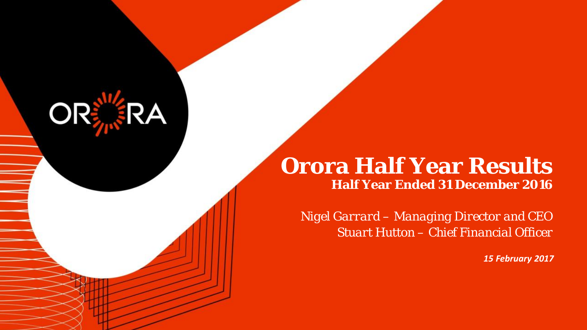# **Orora Half Year Results Half Year Ended 31 December 2016**

**OR** 

*Nigel Garrard – Managing Director and CEO Stuart Hutton – Chief Financial Officer*

*15 February 2017*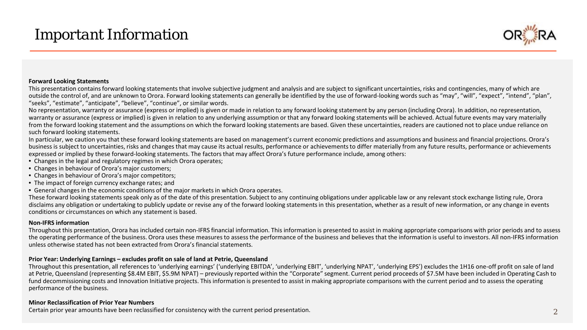# *Important Information*



#### **Forward Looking Statements**

This presentation contains forward looking statements that involve subjective judgment and analysis and are subject to significant uncertainties, risks and contingencies, many of which are outside the control of, and are unknown to Orora. Forward looking statements can generally be identified by the use of forward-looking words such as "may", "will", "expect", "intend", "plan", "seeks", "estimate", "anticipate", "believe", "continue", or similar words.

No representation, warranty or assurance (express or implied) is given or made in relation to any forward looking statement by any person (including Orora). In addition, no representation, warranty or assurance (express or implied) is given in relation to any underlying assumption or that any forward looking statements will be achieved. Actual future events may vary materially from the forward looking statement and the assumptions on which the forward looking statements are based. Given these uncertainties, readers are cautioned not to place undue reliance on such forward looking statements.

In particular, we caution you that these forward looking statements are based on management's current economic predictions and assumptions and business and financial projections. Orora's business is subject to uncertainties, risks and changes that may cause its actual results, performance or achievements to differ materially from any future results, performance or achievements expressed or implied by these forward-looking statements. The factors that may affect Orora's future performance include, among others:

- Changes in the legal and regulatory regimes in which Orora operates;
- Changes in behaviour of Orora's major customers;
- Changes in behaviour of Orora's major competitors;
- The impact of foreign currency exchange rates; and
- General changes in the economic conditions of the major markets in which Orora operates.

These forward looking statements speak only as of the date of this presentation. Subject to any continuing obligations under applicable law or any relevant stock exchange listing rule, Orora disclaims any obligation or undertaking to publicly update or revise any of the forward looking statements in this presentation, whether as a result of new information, or any change in events conditions or circumstances on which any statement is based.

#### **Non-IFRS information**

Throughout this presentation, Orora has included certain non-IFRS financial information. This information is presented to assist in making appropriate comparisons with prior periods and to assess the operating performance of the business. Orora uses these measures to assess the performance of the business and believes that the information is useful to investors. All non-IFRS information unless otherwise stated has not been extracted from Orora's financial statements.

#### **Prior Year: Underlying Earnings – excludes profit on sale of land at Petrie, Queensland**

Throughout this presentation, all references to 'underlying earnings' ('underlying EBITDA', 'underlying EBIT', 'underlying NPAT', 'underlying EPS') excludes the 1H16 one-off profit on sale of land at Petrie, Queensland (representing \$8.4M EBIT, \$5.9M NPAT) – previously reported within the "Corporate" segment. Current period proceeds of \$7.5M have been included in Operating Cash to fund decommissioning costs and Innovation Initiative projects. This information is presented to assist in making appropriate comparisons with the current period and to assess the operating performance of the business.

#### **Minor Reclassification of Prior Year Numbers**

 $\Gamma$   $\Gamma$   $\Gamma$   $\Gamma$ Certain prior year amounts have been reclassified for consistency with the current period presentation. 2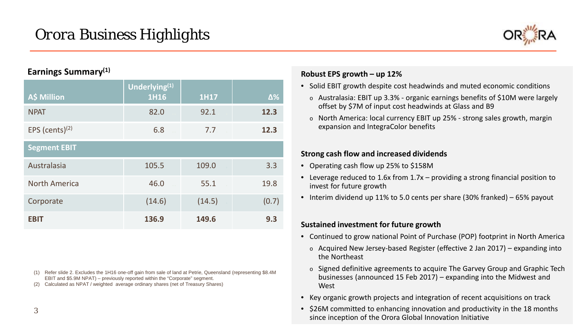

# **Earnings Summary(1)**

| A\$ Million          | Underlying <sup>(1)</sup><br>1H16 | <b>1H17</b> | $\Delta\%$ |
|----------------------|-----------------------------------|-------------|------------|
| <b>NPAT</b>          | 82.0                              | 92.1        | 12.3       |
| EPS (cents) $(2)$    | 6.8                               | 7.7         | 12.3       |
| <b>Segment EBIT</b>  |                                   |             |            |
| Australasia          | 105.5                             | 109.0       | 3.3        |
| <b>North America</b> | 46.0                              | 55.1        | 19.8       |
| Corporate            | (14.6)                            | (14.5)      | (0.7)      |
| <b>EBIT</b>          | 136.9                             | 149.6       | 9.3        |

- (1) Refer slide 2. Excludes the 1H16 one-off gain from sale of land at Petrie, Queensland (representing \$8.4M EBIT and \$5.9M NPAT) – previously reported within the "Corporate" segment.
- (2) Calculated as NPAT / weighted average ordinary shares (net of Treasury Shares)

## **Robust EPS growth – up 12%**

- Solid EBIT growth despite cost headwinds and muted economic conditions
	- $\circ$  Australasia: EBIT up 3.3% organic earnings benefits of \$10M were largely offset by \$7M of input cost headwinds at Glass and B9
	- o North America: local currency EBIT up 25% strong sales growth, margin expansion and IntegraColor benefits

### **Strong cash flow and increased dividends**

- Operating cash flow up 25% to \$158M
- Leverage reduced to 1.6x from 1.7x providing a strong financial position to invest for future growth
- Interim dividend up 11% to 5.0 cents per share (30% franked) 65% payout

### **Sustained investment for future growth**

- Continued to grow national Point of Purchase (POP) footprint in North America
	- o Acquired New Jersey-based Register (effective 2 Jan 2017) expanding into the Northeast
	- o Signed definitive agreements to acquire The Garvey Group and Graphic Tech businesses (announced 15 Feb 2017) – expanding into the Midwest and **West**
- Key organic growth projects and integration of recent acquisitions on track
- \$26M committed to enhancing innovation and productivity in the 18 months since inception of the Orora Global Innovation Initiative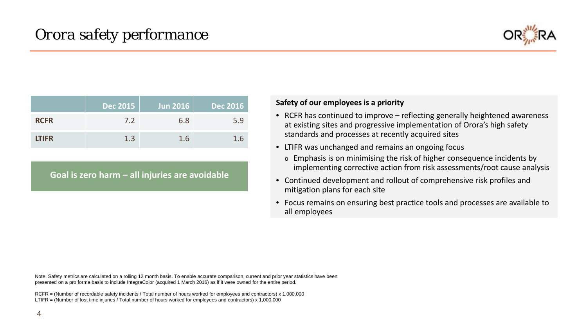

|              | Dec 2015 | Jun 2016 | <u>  Dec 2016  </u> |
|--------------|----------|----------|---------------------|
| <b>RCFR</b>  | 7.2      | 6.8      | 5.9                 |
| <b>LTIFR</b> | 1.3      | 1.6      | 1.b                 |

**Goal is zero harm – all injuries are avoidable**

#### **Safety of our employees is a priority**

- RCFR has continued to improve reflecting generally heightened awareness at existing sites and progressive implementation of Orora's high safety standards and processes at recently acquired sites
- LTIFR was unchanged and remains an ongoing focus
	- o Emphasis is on minimising the risk of higher consequence incidents by implementing corrective action from risk assessments/root cause analysis
- Continued development and rollout of comprehensive risk profiles and mitigation plans for each site
- Focus remains on ensuring best practice tools and processes are available to all employees

Note: Safety metrics are calculated on a rolling 12 month basis. To enable accurate comparison, current and prior year statistics have been presented on a pro forma basis to include IntegraColor (acquired 1 March 2016) as if it were owned for the entire period.

RCFR = (Number of recordable safety incidents / Total number of hours worked for employees and contractors) x 1,000,000 LTIFR = (Number of lost time injuries / Total number of hours worked for employees and contractors) x 1,000,000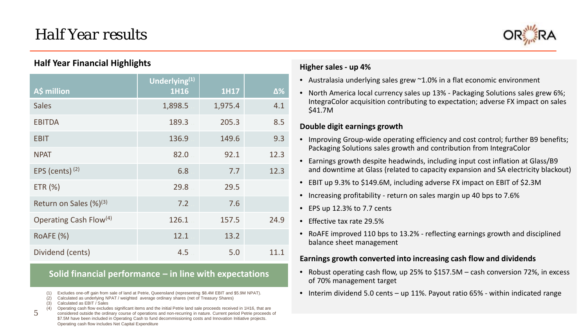# *Half Year results*



# **Half Year Financial Highlights**

| A\$ million                        | Underlying <sup>(1)</sup><br><b>1H16</b> | <b>1H17</b> | $\Delta\%$ |
|------------------------------------|------------------------------------------|-------------|------------|
| <b>Sales</b>                       | 1,898.5                                  | 1,975.4     | 4.1        |
| <b>EBITDA</b>                      | 189.3                                    | 205.3       | 8.5        |
| <b>EBIT</b>                        | 136.9                                    | 149.6       | 9.3        |
| <b>NPAT</b>                        | 82.0                                     | 92.1        | 12.3       |
| EPS (cents) $(2)$                  | 6.8                                      | 7.7         | 12.3       |
| ETR (%)                            | 29.8                                     | 29.5        |            |
| Return on Sales $(\%)^{(3)}$       | 7.2                                      | 7.6         |            |
| Operating Cash Flow <sup>(4)</sup> | 126.1                                    | 157.5       | 24.9       |
| RoAFE (%)                          | 12.1                                     | 13.2        |            |
| Dividend (cents)                   | 4.5                                      | 5.0         | 11.1       |

# **Solid financial performance – in line with expectations**

- (1) Excludes one-off gain from sale of land at Petrie, Queensland (representing \$8.4M EBIT and \$5.9M NPAT).
- (2) Calculated as underlying NPAT / weighted average ordinary shares (net of Treasury Shares)
- (3) Calculated as EBIT / Sales

5

- (4) Operating cash flow excludes significant items and the initial Petrie land sale proceeds received in 1H16, that are
- Orora Considered outside the ordinary course of operations and non-recurring in nature. Current period Petrie proceeds of \$7.5M have been included in Operating Cash to fund decommissioning costs and Innovation Initiative projects. Operating cash flow includes Net Capital Expenditure

### **Higher sales - up 4%**

- Australasia underlying sales grew ~1.0% in a flat economic environment
- North America local currency sales up 13% Packaging Solutions sales grew 6%; IntegraColor acquisition contributing to expectation; adverse FX impact on sales \$41.7M

### **Double digit earnings growth**

- Improving Group-wide operating efficiency and cost control; further B9 benefits; Packaging Solutions sales growth and contribution from IntegraColor
- Earnings growth despite headwinds, including input cost inflation at Glass/B9 and downtime at Glass (related to capacity expansion and SA electricity blackout)
- EBIT up 9.3% to \$149.6M, including adverse FX impact on EBIT of \$2.3M
- Increasing profitability return on sales margin up 40 bps to 7.6%
- EPS up 12.3% to 7.7 cents
- Effective tax rate 29.5%
- RoAFE improved 110 bps to 13.2% reflecting earnings growth and disciplined balance sheet management

#### **Earnings growth converted into increasing cash flow and dividends**

- Robust operating cash flow, up 25% to \$157.5M cash conversion 72%, in excess of 70% management target
- Interim dividend 5.0 cents up 11%. Payout ratio 65% within indicated range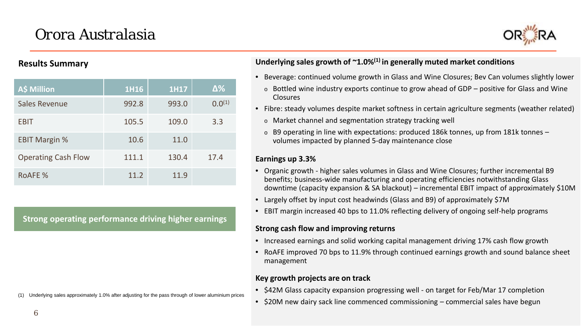# *Orora Australasia*



## **Results Summary**

| <b>A\$ Million</b>         | 1H16  | 1H17  | $\Delta\%$  |
|----------------------------|-------|-------|-------------|
| <b>Sales Revenue</b>       | 992.8 | 993.0 | $0.0^{(1)}$ |
| <b>EBIT</b>                | 105.5 | 109.0 | 3.3         |
| <b>EBIT Margin %</b>       | 10.6  | 11.0  |             |
| <b>Operating Cash Flow</b> | 111.1 | 130.4 | 17.4        |
| <b>ROAFE %</b>             | 11.2  | 11.9  |             |

**Strong operating performance driving higher earnings**

### **Underlying sales growth of ~1.0%(1) in generally muted market conditions**

- Beverage: continued volume growth in Glass and Wine Closures; Bev Can volumes slightly lower
	- $\circ$  Bottled wine industry exports continue to grow ahead of GDP positive for Glass and Wine Closures
- Fibre: steady volumes despite market softness in certain agriculture segments (weather related)
	- o Market channel and segmentation strategy tracking well
	- $\circ$  B9 operating in line with expectations: produced 186k tonnes, up from 181k tonnes volumes impacted by planned 5-day maintenance close

### **Earnings up 3.3%**

- Organic growth higher sales volumes in Glass and Wine Closures; further incremental B9 benefits; business-wide manufacturing and operating efficiencies notwithstanding Glass downtime (capacity expansion & SA blackout) – incremental EBIT impact of approximately \$10M
- Largely offset by input cost headwinds (Glass and B9) of approximately \$7M
- EBIT margin increased 40 bps to 11.0% reflecting delivery of ongoing self-help programs

### **Strong cash flow and improving returns**

- Increased earnings and solid working capital management driving 17% cash flow growth
- RoAFE improved 70 bps to 11.9% through continued earnings growth and sound balance sheet management

# **Key growth projects are on track**

- \$42M Glass capacity expansion progressing well on target for Feb/Mar 17 completion
- \$20M new dairy sack line commenced commissioning commercial sales have begun

Underlying sales approximately 1.0% after adjusting for the pass through of lower aluminium prices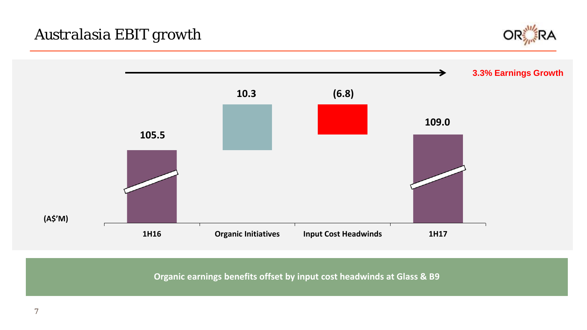*Australasia EBIT growth*





**Organic earnings benefits offset by input cost headwinds at Glass & B9**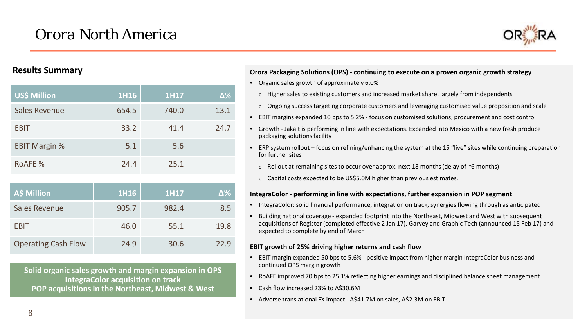

# **Results Summary**

| US\$ Million         | 1H16  | <b>1H17</b> | Δ%   |
|----------------------|-------|-------------|------|
| <b>Sales Revenue</b> | 654.5 | 740.0       | 13.1 |
| <b>EBIT</b>          | 33.2  | 41.4        | 24.7 |
| <b>EBIT Margin %</b> | 5.1   | 5.6         |      |
| <b>ROAFE%</b>        | 24.4  | 25.1        |      |

| A\$ Million                | 1H16  | <b>1H17</b> | $\Delta\%$ |
|----------------------------|-------|-------------|------------|
| <b>Sales Revenue</b>       | 905.7 | 982.4       | 8.5        |
| <b>EBIT</b>                | 46.0  | 55.1        | 19.8       |
| <b>Operating Cash Flow</b> | 24.9  | 30.6        | 22.9       |

**Solid organic sales growth and margin expansion in OPS IntegraColor acquisition on track POP acquisitions in the Northeast, Midwest & West**

#### **Orora Packaging Solutions (OPS) - continuing to execute on a proven organic growth strategy**

- Organic sales growth of approximately 6.0%
	- o Higher sales to existing customers and increased market share, largely from independents
	- o Ongoing success targeting corporate customers and leveraging customised value proposition and scale
- EBIT margins expanded 10 bps to 5.2% focus on customised solutions, procurement and cost control
- Growth Jakait is performing in line with expectations. Expanded into Mexico with a new fresh produce packaging solutions facility
- ERP system rollout focus on refining/enhancing the system at the 15 "live" sites while continuing preparation for further sites
	- $\circ$  Rollout at remaining sites to occur over approx. next 18 months (delay of  $\sim$ 6 months)
	- o Capital costs expected to be US\$5.0M higher than previous estimates.

#### **IntegraColor - performing in line with expectations, further expansion in POP segment**

- IntegraColor: solid financial performance, integration on track, synergies flowing through as anticipated
- Building national coverage expanded footprint into the Northeast, Midwest and West with subsequent acquisitions of Register (completed effective 2 Jan 17), Garvey and Graphic Tech (announced 15 Feb 17) and expected to complete by end of March

#### **EBIT growth of 25% driving higher returns and cash flow**

- EBIT margin expanded 50 bps to 5.6% positive impact from higher margin IntegraColor business and continued OPS margin growth
- RoAFE improved 70 bps to 25.1% reflecting higher earnings and disciplined balance sheet management
- Cash flow increased 23% to A\$30.6M
- Adverse translational FX impact A\$41.7M on sales, A\$2.3M on EBIT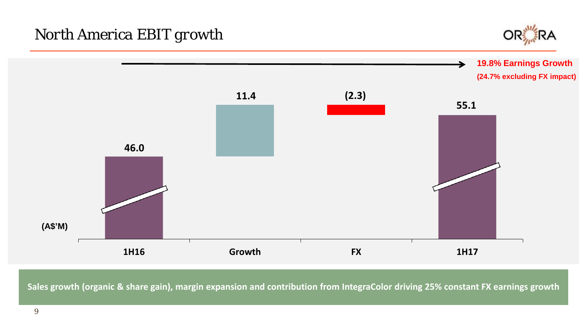

**19.8% Earnings Growth**



**Sales growth (organic & share gain), margin expansion and contribution from IntegraColor driving 25% constant FX earnings growth**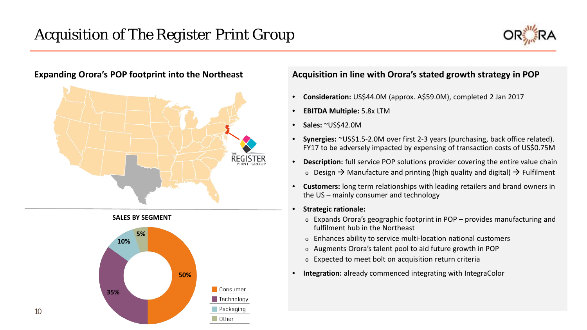





 $\overline{10}$ 

10

# **Expanding Orora's POP footprint into the Northeast Acquisition in line with Orora's stated growth strategy in POP**

- **Consideration:** US\$44.0M (approx. A\$59.0M), completed 2 Jan 2017
- **EBITDA Multiple:** 5.8x LTM
- **Sales:** ~US\$42.0M
- **Synergies:** ~US\$1.5-2.0M over first 2-3 years (purchasing, back office related). FY17 to be adversely impacted by expensing of transaction costs of US\$0.75M
- **Description:** full service POP solutions provider covering the entire value chain  $\circ$  Design  $\rightarrow$  Manufacture and printing (high quality and digital)  $\rightarrow$  Fulfilment
- **Customers:** long term relationships with leading retailers and brand owners in the US – mainly consumer and technology
- **Strategic rationale:**
	- o Expands Orora's geographic footprint in POP provides manufacturing and fulfilment hub in the Northeast
	- o Enhances ability to service multi-location national customers
	- o Augments Orora's talent pool to aid future growth in POP
	- o Expected to meet bolt on acquisition return criteria
- **Integration:** already commenced integrating with IntegraColor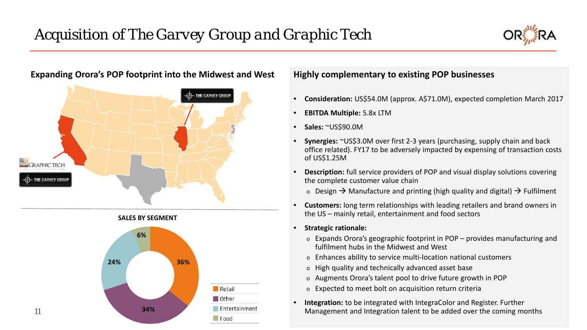



 $\mathbf{H}$  and  $\mathbf{H}$ 

11

# **Expanding Orora's POP footprint into the Midwest and West Highly complementary to existing POP businesses**



- **Consideration:** US\$54.0M (approx. A\$71.0M), expected completion March 2017
- **EBITDA Multiple:** 5.8x LTM
- **Sales:** ~US\$90.0M
- **Synergies:** ~US\$3.0M over first 2-3 years (purchasing, supply chain and back office related). FY17 to be adversely impacted by expensing of transaction costs of US\$1.25M
- **Description:** full service providers of POP and visual display solutions covering the complete customer value chain
	- $\circ$  Design  $\rightarrow$  Manufacture and printing (high quality and digital)  $\rightarrow$  Fulfilment
- **Customers:** long term relationships with leading retailers and brand owners in the US – mainly retail, entertainment and food sectors
- **Strategic rationale:**
	- o Expands Orora's geographic footprint in POP provides manufacturing and fulfilment hubs in the Midwest and West
	- o Enhances ability to service multi-location national customers
	- o High quality and technically advanced asset base
	- o Augments Orora's talent pool to drive future growth in POP
	- o Expected to meet bolt on acquisition return criteria
- **Integration:** to be integrated with IntegraColor and Register. Further Management and Integration talent to be added over the coming months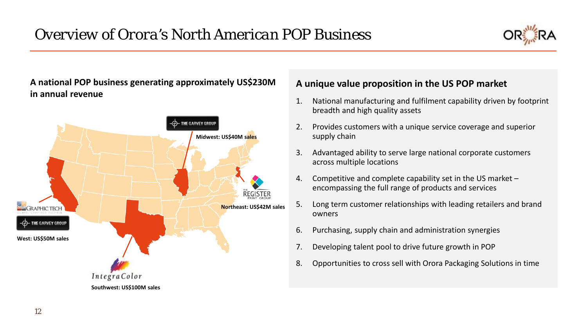

**A national POP business generating approximately US\$230M in annual revenue**



# **A unique value proposition in the US POP market**

- 1. National manufacturing and fulfilment capability driven by footprint breadth and high quality assets
- 2. Provides customers with a unique service coverage and superior supply chain
- 3. Advantaged ability to serve large national corporate customers across multiple locations
- 4. Competitive and complete capability set in the US market encompassing the full range of products and services
- 5. Long term customer relationships with leading retailers and brand owners
- 6. Purchasing, supply chain and administration synergies
- 7. Developing talent pool to drive future growth in POP
- 8. Opportunities to cross sell with Orora Packaging Solutions in time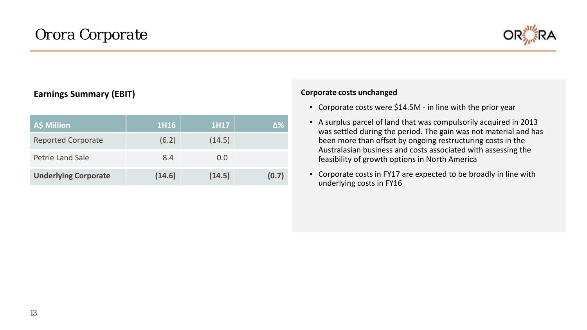

# **Earnings Summary (EBIT)**

| A\$ Million                 | 1H16   | 1H17   | Δ%    |
|-----------------------------|--------|--------|-------|
| <b>Reported Corporate</b>   | (6.2)  | (14.5) |       |
| Petrie Land Sale            | 8.4    | 0.0    |       |
| <b>Underlying Corporate</b> | (14.6) | (14.5) | (0.7) |

#### **Corporate costs unchanged**

- Corporate costs were \$14.5M in line with the prior year
- A surplus parcel of land that was compulsorily acquired in 2013 was settled during the period. The gain was not material and has been more than offset by ongoing restructuring costs in the Australasian business and costs associated with assessing the feasibility of growth options in North America
- Corporate costs in FY17 are expected to be broadly in line with underlying costs in FY16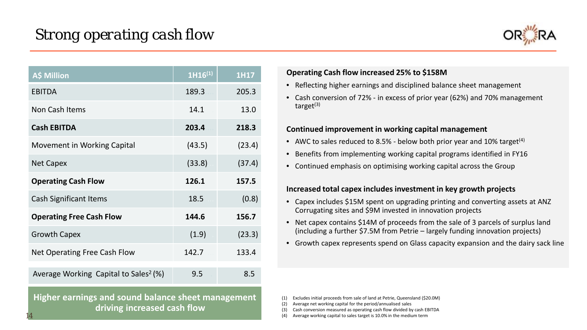

| <b>A\$ Million</b>                                | $1H16^{(1)}$ | <b>1H17</b> |
|---------------------------------------------------|--------------|-------------|
| <b>EBITDA</b>                                     | 189.3        | 205.3       |
| Non Cash Items                                    | 14.1         | 13.0        |
| <b>Cash EBITDA</b>                                | 203.4        | 218.3       |
| <b>Movement in Working Capital</b>                | (43.5)       | (23.4)      |
| <b>Net Capex</b>                                  | (33.8)       | (37.4)      |
| <b>Operating Cash Flow</b>                        | 126.1        | 157.5       |
| <b>Cash Significant Items</b>                     | 18.5         | (0.8)       |
| <b>Operating Free Cash Flow</b>                   | 144.6        | 156.7       |
| <b>Growth Capex</b>                               | (1.9)        | (23.3)      |
| Net Operating Free Cash Flow                      | 142.7        | 133.4       |
| Average Working Capital to Sales <sup>2</sup> (%) | 9.5          | 8.5         |

Orora Ltd 2014 **Higher earnings and sound balance sheet management driving increased cash flow**

### **Operating Cash flow increased 25% to \$158M**

- Reflecting higher earnings and disciplined balance sheet management
- Cash conversion of 72% in excess of prior year (62%) and 70% management target $(3)$

### **Continued improvement in working capital management**

- AWC to sales reduced to 8.5% below both prior year and 10% target<sup>(4)</sup>
- Benefits from implementing working capital programs identified in FY16
- Continued emphasis on optimising working capital across the Group

### **Increased total capex includes investment in key growth projects**

- Capex includes \$15M spent on upgrading printing and converting assets at ANZ Corrugating sites and \$9M invested in innovation projects
- Net capex contains \$14M of proceeds from the sale of 3 parcels of surplus land (including a further \$7.5M from Petrie – largely funding innovation projects)
- Growth capex represents spend on Glass capacity expansion and the dairy sack line

(1) Excludes initial proceeds from sale of land at Petrie, Queensland (\$20.0M)

(2) Average net working capital for the period/annualised sales

(3) Cash conversion measured as operating cash flow divided by cash EBITDA

14 (4) Average working capital to sales target is 10.0% in the medium term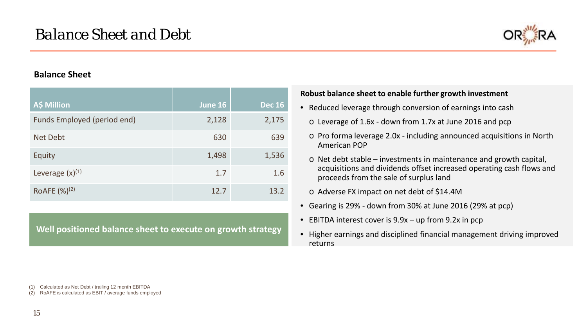

# **Balance Sheet**

| A\$ Million                 | June 16 | <b>Dec 16</b> |
|-----------------------------|---------|---------------|
| Funds Employed (period end) | 2,128   | 2,175         |
| Net Debt                    | 630     | 639           |
| Equity                      | 1,498   | 1,536         |
| Leverage $(x)^{(1)}$        | 1.7     | 1.6           |
| ROAFE $(\%)^{(2)}$          | 12.7    | 13.2          |

**Well positioned balance sheet to execute on growth strategy**

### **Robust balance sheet to enable further growth investment**

- Reduced leverage through conversion of earnings into cash
	- o Leverage of 1.6x down from 1.7x at June 2016 and pcp
	- o Pro forma leverage 2.0x including announced acquisitions in North American POP
	- o Net debt stable investments in maintenance and growth capital, acquisitions and dividends offset increased operating cash flows and proceeds from the sale of surplus land
	- o Adverse FX impact on net debt of \$14.4M
- Gearing is 29% down from 30% at June 2016 (29% at pcp)
- EBITDA interest cover is 9.9x up from 9.2x in pcp
- Higher earnings and disciplined financial management driving improved returns

Calculated as Net Debt / trailing 12 month EBITDA

(2) RoAFE is calculated as EBIT / average funds employed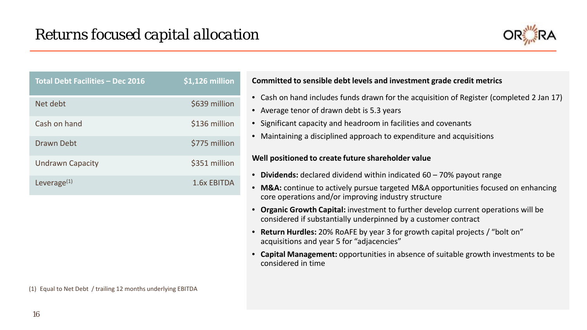

| <b>Total Debt Facilities - Dec 2016</b> | $$1,126$ million |
|-----------------------------------------|------------------|
| Net debt                                | \$639 million    |
| Cash on hand                            | \$136 million    |
| Drawn Debt                              | \$775 million    |
| <b>Undrawn Capacity</b>                 | \$351 million    |
| Leverage $(1)$                          | 1.6x EBITDA      |

### **Committed to sensible debt levels and investment grade credit metrics**

- Cash on hand includes funds drawn for the acquisition of Register (completed 2 Jan 17)
- Average tenor of drawn debt is 5.3 years
- Significant capacity and headroom in facilities and covenants
- Maintaining a disciplined approach to expenditure and acquisitions

#### **Well positioned to create future shareholder value**

- **Dividends:** declared dividend within indicated 60 70% payout range
- **M&A:** continue to actively pursue targeted M&A opportunities focused on enhancing core operations and/or improving industry structure
- **Organic Growth Capital:** investment to further develop current operations will be considered if substantially underpinned by a customer contract
- **Return Hurdles:** 20% RoAFE by year 3 for growth capital projects / "bolt on" acquisitions and year 5 for "adjacencies"
- **Capital Management:** opportunities in absence of suitable growth investments to be considered in time

(1) Equal to Net Debt / trailing 12 months underlying EBITDA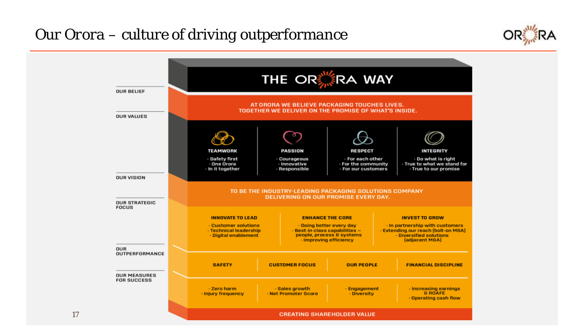# *Our Orora – culture of driving outperformance*



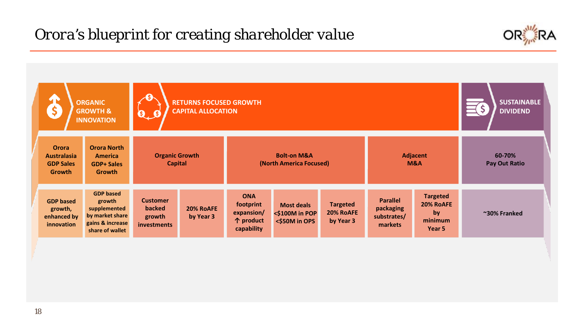# *Orora's blueprint for creating shareholder value*



| \$                                                                      | <b>ORGANIC</b><br><b>GROWTH &amp;</b><br><b>INNOVATION</b>                                           | <b>A</b><br>$\mathbf{0}$ , $\mathbf{0}$                   | <b>RETURNS FOCUSED GROWTH</b><br><b>CAPITAL ALLOCATION</b> |                                                                  |                                                                             |                                           |                                                        |                                                         | <b>SUSTAINABLE</b><br><b>DIVIDEND</b> |
|-------------------------------------------------------------------------|------------------------------------------------------------------------------------------------------|-----------------------------------------------------------|------------------------------------------------------------|------------------------------------------------------------------|-----------------------------------------------------------------------------|-------------------------------------------|--------------------------------------------------------|---------------------------------------------------------|---------------------------------------|
| <b>Orora</b><br><b>Australasia</b><br><b>GDP Sales</b><br><b>Growth</b> | <b>Orora North</b><br><b>America</b><br><b>GDP+ Sales</b><br><b>Growth</b>                           |                                                           | <b>Organic Growth</b><br><b>Capital</b>                    |                                                                  | <b>Bolt-on M&amp;A</b><br><b>Adjacent</b><br>(North America Focused)<br>M&A |                                           |                                                        |                                                         | 60-70%<br><b>Pay Out Ratio</b>        |
| <b>GDP based</b><br>growth,<br>enhanced by<br>innovation                | <b>GDP</b> based<br>growth<br>supplemented<br>by market share<br>gains & increase<br>share of wallet | <b>Customer</b><br>backed<br>growth<br><b>investments</b> | 20% RoAFE<br>by Year 3                                     | <b>ONA</b><br>footprint<br>expansion/<br>个 product<br>capability | <b>Most deals</b><br><\$100M in POP<br><\$50M in OPS                        | <b>Targeted</b><br>20% RoAFE<br>by Year 3 | <b>Parallel</b><br>packaging<br>substrates/<br>markets | <b>Targeted</b><br>20% RoAFE<br>by<br>minimum<br>Year 5 | ~30% Franked                          |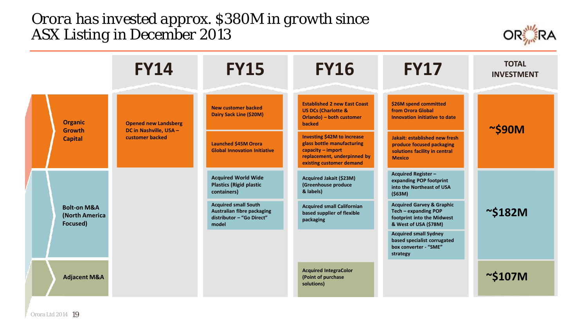# *Orora has invested approx. \$380M in growth since ASX Listing in December 2013*



|                                                      | <b>FY14</b>                               | <b>FY15</b>                                                                                            | <b>FY16</b>                                                                                                                                        | <b>FY17</b>                                                                                                         | <b>TOTAL</b><br><b>INVESTMENT</b> |
|------------------------------------------------------|-------------------------------------------|--------------------------------------------------------------------------------------------------------|----------------------------------------------------------------------------------------------------------------------------------------------------|---------------------------------------------------------------------------------------------------------------------|-----------------------------------|
| <b>Organic</b>                                       | <b>Opened new Landsberg</b>               | <b>New customer backed</b><br>Dairy Sack Line (\$20M)                                                  | <b>Established 2 new East Coast</b><br><b>US DCs (Charlotte &amp;</b><br>Orlando) – both customer<br><b>backed</b>                                 | \$26M spend committed<br>from Orora Global<br>Innovation initiative to date                                         |                                   |
| <b>Growth</b><br><b>Capital</b>                      | DC in Nashville, USA -<br>customer backed | <b>Launched \$45M Orora</b><br><b>Global Innovation Initiative</b>                                     | <b>Investing \$42M to increase</b><br>glass bottle manufacturing<br>$capacity - import$<br>replacement, underpinned by<br>existing customer demand | Jakait: established new fresh<br>produce focused packaging<br>solutions facility in central<br><b>Mexico</b>        | $\sim$ \$90M                      |
|                                                      |                                           | <b>Acquired World Wide</b><br><b>Plastics (Rigid plastic</b><br>containers)                            | Acquired Jakait (\$23M)<br>(Greenhouse produce<br>& labels)                                                                                        | <b>Acquired Register-</b><br>expanding POP footprint<br>into the Northeast of USA<br>(563M)                         |                                   |
| <b>Bolt-on M&amp;A</b><br>(North America<br>Focused) |                                           | <b>Acquired small South</b><br><b>Australian fibre packaging</b><br>distributor - "Go Direct"<br>model | <b>Acquired small Californian</b><br>based supplier of flexible<br>packaging                                                                       | <b>Acquired Garvey &amp; Graphic</b><br>Tech - expanding POP<br>footprint into the Midwest<br>& West of USA (\$78M) | $\sim$ \$182M                     |
|                                                      |                                           |                                                                                                        |                                                                                                                                                    | <b>Acquired small Sydney</b><br>based specialist corrugated<br>box converter - "SME"<br>strategy                    |                                   |
| <b>Adjacent M&amp;A</b>                              |                                           |                                                                                                        | <b>Acquired IntegraColor</b><br>(Point of purchase<br>solutions)                                                                                   |                                                                                                                     | $\sim$ \$107M                     |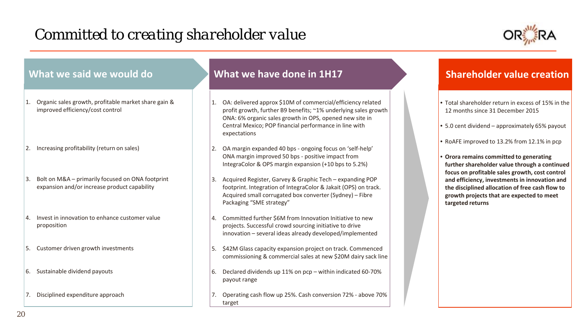# *Committed to creating shareholder value*



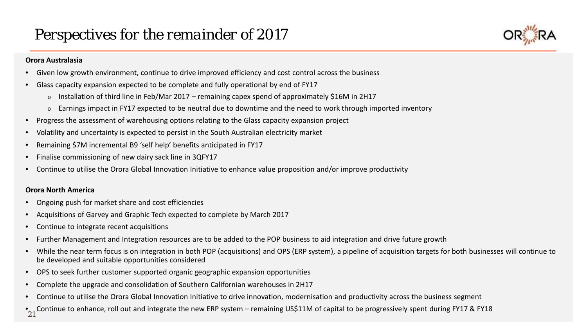# *Perspectives for the remainder of 2017*



#### **Orora Australasia**

- Given low growth environment, continue to drive improved efficiency and cost control across the business
- Glass capacity expansion expected to be complete and fully operational by end of FY17
	- $\circ$  Installation of third line in Feb/Mar 2017 remaining capex spend of approximately \$16M in 2H17
	- o Earnings impact in FY17 expected to be neutral due to downtime and the need to work through imported inventory
- Progress the assessment of warehousing options relating to the Glass capacity expansion project
- Volatility and uncertainty is expected to persist in the South Australian electricity market
- Remaining \$7M incremental B9 'self help' benefits anticipated in FY17
- Finalise commissioning of new dairy sack line in 3QFY17
- Continue to utilise the Orora Global Innovation Initiative to enhance value proposition and/or improve productivity

#### **Orora North America**

- Ongoing push for market share and cost efficiencies
- Acquisitions of Garvey and Graphic Tech expected to complete by March 2017
- Continue to integrate recent acquisitions
- Further Management and Integration resources are to be added to the POP business to aid integration and drive future growth
- While the near term focus is on integration in both POP (acquisitions) and OPS (ERP system), a pipeline of acquisition targets for both businesses will continue to be developed and suitable opportunities considered
- OPS to seek further customer supported organic geographic expansion opportunities
- Complete the upgrade and consolidation of Southern Californian warehouses in 2H17
- Continue to utilise the Orora Global Innovation Initiative to drive innovation, modernisation and productivity across the business segment
- $\bullet$  Continue to enhance, roll out and integrate the new ERP system remaining US\$11M of capital to be progressively spent during FY17 & FY18 21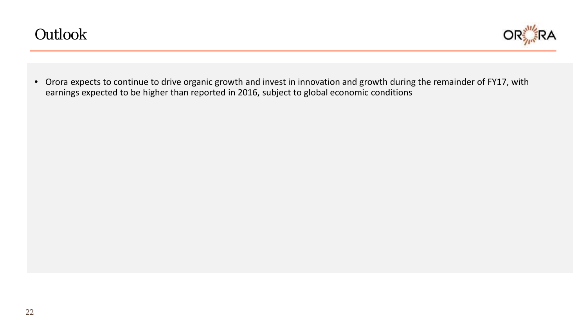

• Orora expects to continue to drive organic growth and invest in innovation and growth during the remainder of FY17, with earnings expected to be higher than reported in 2016, subject to global economic conditions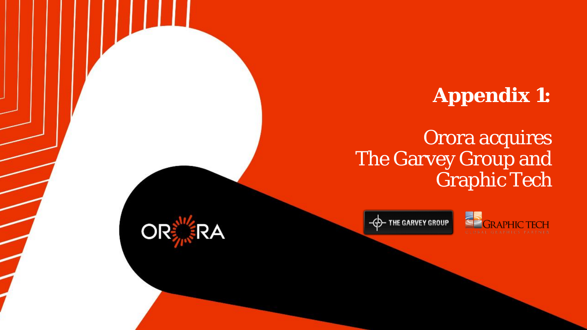# **Appendix 1:**

# Orora acquires The Garvey Group and Graphic Tech





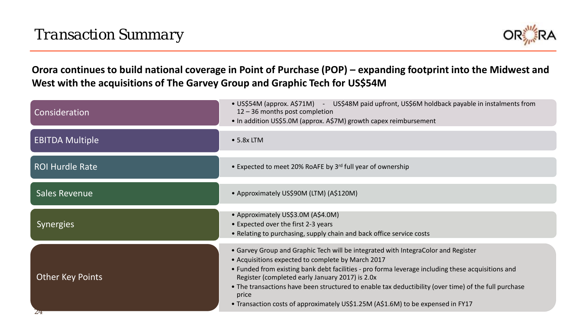

**Orora continues to build national coverage in Point of Purchase (POP) – expanding footprint into the Midwest and West with the acquisitions of The Garvey Group and Graphic Tech for US\$54M**

| Consideration                          | • US\$54M (approx. A\$71M) - US\$48M paid upfront, US\$6M holdback payable in instalments from<br>$12 - 36$ months post completion<br>• In addition US\$5.0M (approx. A\$7M) growth capex reimbursement                                                                                                                                                                                                                                                                                            |
|----------------------------------------|----------------------------------------------------------------------------------------------------------------------------------------------------------------------------------------------------------------------------------------------------------------------------------------------------------------------------------------------------------------------------------------------------------------------------------------------------------------------------------------------------|
| <b>EBITDA Multiple</b>                 | $\bullet$ 5.8x LTM                                                                                                                                                                                                                                                                                                                                                                                                                                                                                 |
| <b>ROI Hurdle Rate</b>                 | • Expected to meet 20% RoAFE by 3rd full year of ownership                                                                                                                                                                                                                                                                                                                                                                                                                                         |
| <b>Sales Revenue</b>                   | • Approximately US\$90M (LTM) (A\$120M)                                                                                                                                                                                                                                                                                                                                                                                                                                                            |
| <b>Synergies</b>                       | • Approximately US\$3.0M (A\$4.0M)<br>• Expected over the first 2-3 years<br>• Relating to purchasing, supply chain and back office service costs                                                                                                                                                                                                                                                                                                                                                  |
| <b>Other Key Points</b><br>$Z_{\rm T}$ | • Garvey Group and Graphic Tech will be integrated with IntegraColor and Register<br>• Acquisitions expected to complete by March 2017<br>• Funded from existing bank debt facilities - pro forma leverage including these acquisitions and<br>Register (completed early January 2017) is 2.0x<br>• The transactions have been structured to enable tax deductibility (over time) of the full purchase<br>price<br>• Transaction costs of approximately US\$1.25M (A\$1.6M) to be expensed in FY17 |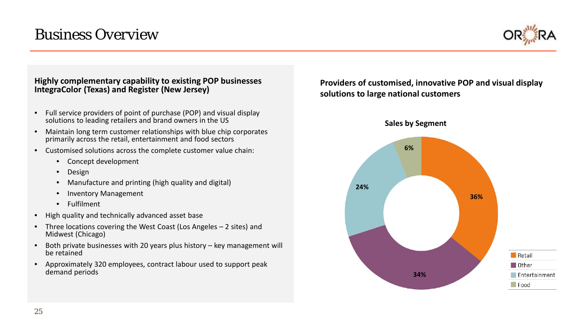# *Business Overview*



### **Highly complementary capability to existing POP businesses IntegraColor (Texas) and Register (New Jersey)**

- Full service providers of point of purchase (POP) and visual display solutions to leading retailers and brand owners in the US
- Maintain long term customer relationships with blue chip corporates primarily across the retail, entertainment and food sectors
- Customised solutions across the complete customer value chain:
	- Concept development
	- Design
	- Manufacture and printing (high quality and digital)
	- Inventory Management
	- Fulfilment
- High quality and technically advanced asset base
- Three locations covering the West Coast (Los Angeles 2 sites) and Midwest (Chicago)
- Both private businesses with 20 years plus history key management will be retained
- Approximately 320 employees, contract labour used to support peak demand periods

**Providers of customised, innovative POP and visual display solutions to large national customers**

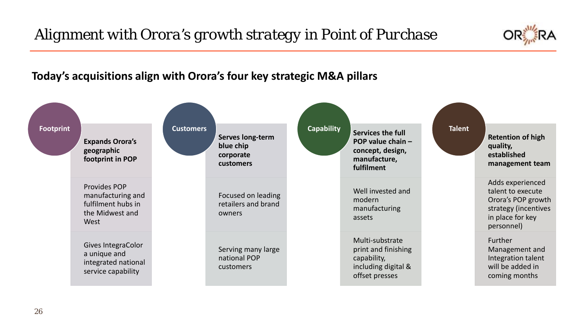# *Alignment with Orora's growth strategy in Point of Purchase*



# **Today's acquisitions align with Orora's four key strategic M&A pillars**

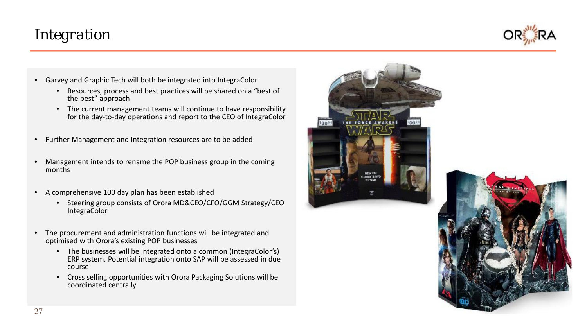# *Integration*



- Garvey and Graphic Tech will both be integrated into IntegraColor
	- Resources, process and best practices will be shared on a "best of the best" approach
	- The current management teams will continue to have responsibility for the day-to-day operations and report to the CEO of IntegraColor
- Further Management and Integration resources are to be added
- Management intends to rename the POP business group in the coming months
- A comprehensive 100 day plan has been established
	- Steering group consists of Orora MD&CEO/CFO/GGM Strategy/CEO IntegraColor
- The procurement and administration functions will be integrated and optimised with Orora's existing POP businesses
	- The businesses will be integrated onto a common (IntegraColor's) ERP system. Potential integration onto SAP will be assessed in due course
	- Cross selling opportunities with Orora Packaging Solutions will be coordinated centrally